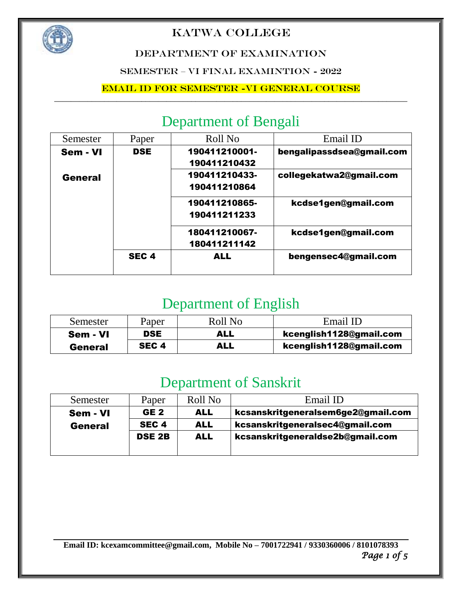

#### DEPARTMENT OF EXAMINATION

SEMESTER – VI FINAL EXAMINTION - 2022

#### Email ID for Semester -VI General course

## Department of Bengali

| Semester | Paper            | Roll No       | Email ID                  |
|----------|------------------|---------------|---------------------------|
| Sem - VI | <b>DSE</b>       | 190411210001- | bengalipassdsea@gmail.com |
|          |                  | 190411210432  |                           |
| General  |                  | 190411210433- | collegekatwa2@gmail.com   |
|          |                  | 190411210864  |                           |
|          |                  | 190411210865- | kcdse1gen@gmail.com       |
|          |                  | 190411211233  |                           |
|          |                  | 180411210067- | kcdse1gen@gmail.com       |
|          |                  | 180411211142  |                           |
|          | SEC <sub>4</sub> | <b>ALL</b>    | bengensec4@gmail.com      |

### Department of English

| Semester       | Paper            | Roll No | Email ID                |
|----------------|------------------|---------|-------------------------|
| Sem - VI       | <b>DSE</b>       | ALL     | kcenglish1128@gmail.com |
| <b>General</b> | SEC <sub>4</sub> | ALL     | kcenglish1128@gmail.com |

### Department of Sanskrit

| Semester       | Paper            | Roll No    | Email ID                           |
|----------------|------------------|------------|------------------------------------|
| Sem - VI       | GE <sub>2</sub>  | <b>ALL</b> | kcsanskritgeneralsem6ge2@gmail.com |
| <b>General</b> | SEC <sub>4</sub> | <b>ALL</b> | kcsanskritgeneralsec4@gmail.com    |
|                | <b>DSE 2B</b>    | <b>ALL</b> | kcsanskritgeneraldse2b@gmail.com   |
|                |                  |            |                                    |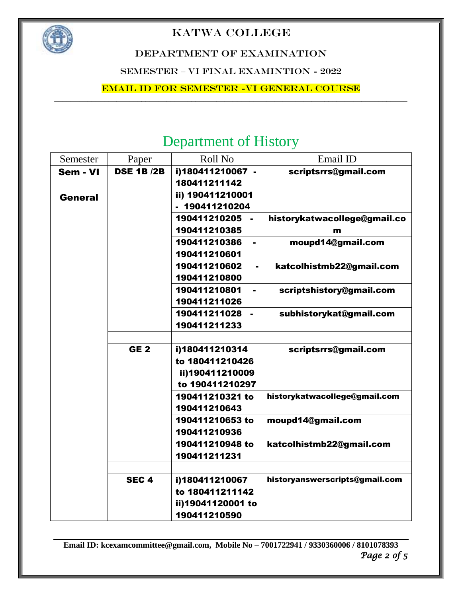

DEPARTMENT OF EXAMINATION

SEMESTER – VI FINAL EXAMINTION - 2022

Email ID for Semester -VI General course

## Department of History

| Semester       | Paper            | Roll No                        | Email ID                       |
|----------------|------------------|--------------------------------|--------------------------------|
| Sem - VI       | <b>DSE 1B/2B</b> | i)180411210067 -               | scriptsrrs@gmail.com           |
|                |                  | 180411211142                   |                                |
| <b>General</b> |                  | ii) 190411210001               |                                |
|                |                  | - 190411210204                 |                                |
|                |                  | 190411210205                   | historykatwacollege@gmail.co   |
|                |                  | 190411210385                   | m                              |
|                |                  | 190411210386<br>$\blacksquare$ | moupd14@gmail.com              |
|                |                  | 190411210601                   |                                |
|                |                  | 190411210602                   | katcolhistmb22@gmail.com       |
|                |                  | 190411210800                   |                                |
|                |                  | 190411210801                   | scriptshistory@gmail.com       |
|                |                  | 190411211026                   |                                |
|                |                  | 190411211028<br>$\blacksquare$ | subhistorykat@gmail.com        |
|                |                  | 190411211233                   |                                |
|                |                  |                                |                                |
|                | GE <sub>2</sub>  | i)180411210314                 | scriptsrrs@gmail.com           |
|                |                  | to 180411210426                |                                |
|                |                  | ii)190411210009                |                                |
|                |                  | to 190411210297                |                                |
|                |                  | 190411210321 to                | historykatwacollege@gmail.com  |
|                |                  | 190411210643                   |                                |
|                |                  | 190411210653 to                | moupd14@gmail.com              |
|                |                  | 190411210936                   |                                |
|                |                  | 190411210948 to                | katcolhistmb22@gmail.com       |
|                |                  | 190411211231                   |                                |
|                |                  |                                |                                |
|                | SEC <sub>4</sub> | i)180411210067                 | historyanswerscripts@gmail.com |
|                |                  | to 180411211142                |                                |
|                |                  | ii)19041120001 to              |                                |
|                |                  | 190411210590                   |                                |

**Email ID[: kcexamcommittee@gmail.com,](mailto:kcexamcommittee@gmail.com) Mobile No – 7001722941 / 9330360006 / 8101078393** *Page 2 of 5*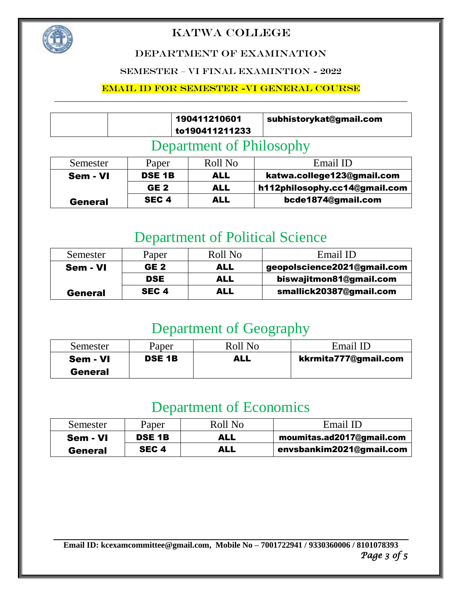

#### DEPARTMENT OF EXAMINATION

#### SEMESTER – VI FINAL EXAMINTION - 2022

#### Email ID for Semester -VI General course

|  | 190411210601<br>to190411211233 | subhistorykat@gmail.com |
|--|--------------------------------|-------------------------|
|  |                                |                         |

#### Department of Philosophy

| Semester       | Paper            | Roll No | Email ID                      |
|----------------|------------------|---------|-------------------------------|
| Sem - VI       | <b>DSE 1B</b>    | ALL     | katwa.college123@gmail.com    |
|                | GE <sub>2</sub>  | ALL     | h112philosophy.cc14@gmail.com |
| <b>General</b> | SEC <sub>4</sub> | ALL     | bcde1874@gmail.com            |

## Department of Political Science

| Semester       | Paper            | Roll No | Email ID                    |
|----------------|------------------|---------|-----------------------------|
| Sem - VI       | GE <sub>2</sub>  | ALL     | geopolscience2021@gmail.com |
|                | <b>DSE</b>       | ALL     | biswajitmon81@gmail.com     |
| <b>General</b> | SEC <sub>4</sub> | ALL     | smallick20387@gmail.com     |

## Department of Geography

| Semester       | Paper         | Roll No | Email ID             |
|----------------|---------------|---------|----------------------|
| Sem - VI       | <b>DSE 1B</b> | ALL     | kkrmita777@gmail.com |
| <b>General</b> |               |         |                      |

## Department of Economics

| Semester       | Paper            | Roll No    | Email ID                  |
|----------------|------------------|------------|---------------------------|
| Sem - VI       | <b>DSE 1B</b>    | ALL        | moumitas.ad2017@gmail.com |
| <b>General</b> | SEC <sub>4</sub> | <b>ALL</b> | envsbankim2021@gmail.com  |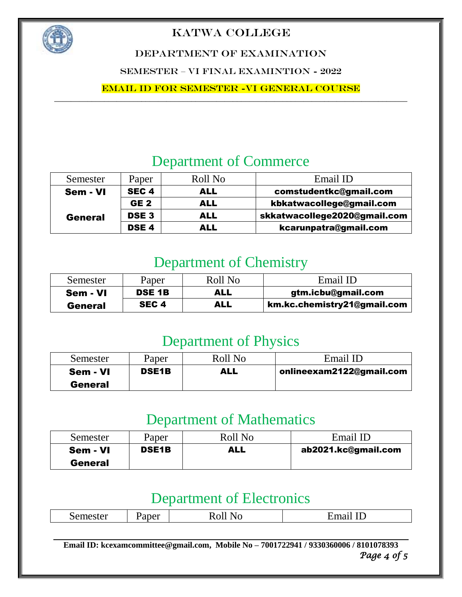

DEPARTMENT OF EXAMINATION

SEMESTER – VI FINAL EXAMINTION - 2022

Email ID for Semester -VI General course

## Department of Commerce

| Semester       | Paper            | Roll No    | Email ID                     |
|----------------|------------------|------------|------------------------------|
| Sem - VI       | SEC <sub>4</sub> | ALL        | comstudentkc@gmail.com       |
|                | GE <sub>2</sub>  | ALL        | kbkatwacollege@gmail.com     |
| <b>General</b> | DSE <sub>3</sub> | <b>ALL</b> | skkatwacollege2020@gmail.com |
|                | DSE <sub>4</sub> | ALL        | kcarunpatra@gmail.com        |

### Department of Chemistry

| Semester       | Paper            | Roll No | Email ID                    |
|----------------|------------------|---------|-----------------------------|
| Sem - VI       | <b>DSE 1B</b>    | ALL     | gtm.icbu@gmail.com          |
| <b>General</b> | SEC <sub>4</sub> | ALL     | km.kc.chemistry21@gmail.com |

### Department of Physics

| Semester       | Paper        | Roll No | Email ID                 |
|----------------|--------------|---------|--------------------------|
| Sem - VI       | <b>DSE1B</b> | ALL     | onlineexam2122@gmail.com |
| <b>General</b> |              |         |                          |

### Department of Mathematics

| Semester       | Paper        | Roll No | Email ID            |
|----------------|--------------|---------|---------------------|
| Sem - VI       | <b>DSE1B</b> | ALL     | ab2021.kc@gmail.com |
| <b>General</b> |              |         |                     |

### Department of Electronics

| $\tilde{\phantom{a}}$<br>$  -$<br>$\sim$ $\sim$<br>Semester | 'aper | ै<br>----- | <br>$-11111111$ |
|-------------------------------------------------------------|-------|------------|-----------------|
|                                                             |       |            |                 |

**Email ID[: kcexamcommittee@gmail.com,](mailto:kcexamcommittee@gmail.com) Mobile No – 7001722941 / 9330360006 / 8101078393** *Page 4 of 5*